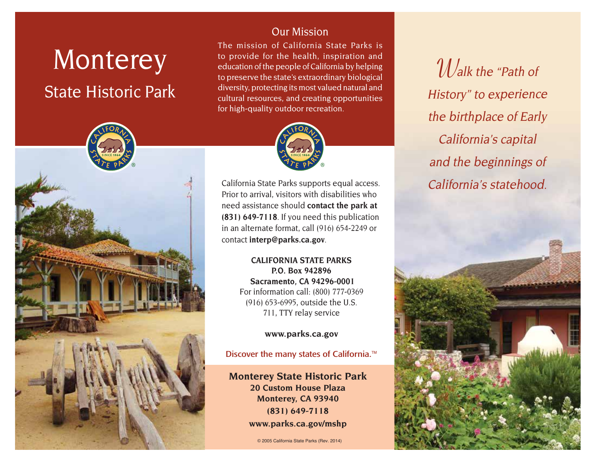# **Monterey**

## State Historic Park



#### Our Mission

The mission of California State Parks is to provide for the health, inspiration and education of the people of California by helping to preserve the state's extraordinary biological diversity, protecting its most valued natural and cultural resources, and creating opportunities for high-quality outdoor recreation.



California State Parks supports equal access. Prior to arrival, visitors with disabilities who need assistance should **contact the park at (831) 649-7118**. If you need this publication in an alternate format, call (916) 654-2249 or contact **[interp@parks.ca.gov](http://interp@parks.ca.gov)**.

> **CALIFORNIA STATE PARKS P.O. Box 942896 Sacramento, CA 94296-0001** For information call: (800) 777-0369 (916) 653-6995, outside the U.S. 711, TTY relay service

> > **[www.parks.ca.gov](http://www.parks.ca.gov)**

#### Discover the many states of California.<sup>™</sup>

**Monterey State Historic Park 20 Custom House Plaza Monterey, CA 93940 (831) 649-7118 [www.parks.ca.gov/mshp](http://www.parks.ca.gov/mshp)**

© 2005 California State Parks (Rev. 2014)

**W**alk the "Path of History" to experience the birthplace of Early California's capital and the beginnings of California's statehood.

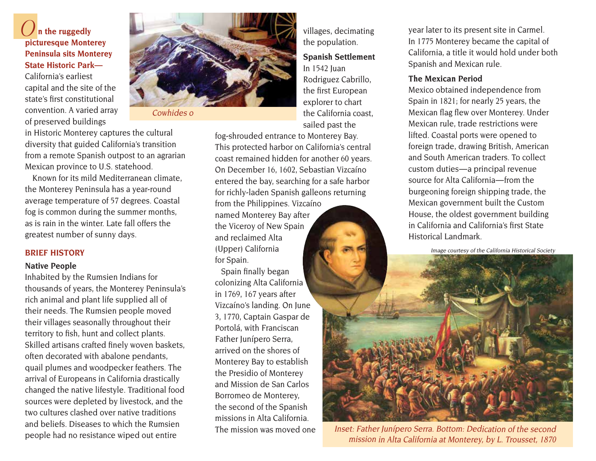#### **On the ruggedly picturesque Monterey Peninsula sits Monterey State Historic Park—**

California's earliest capital and the site of the state's first constitutional convention. A varied array of preserved buildings



Cowhides o

in Historic Monterey captures the cultural diversity that guided California's transition from a remote Spanish outpost to an agrarian Mexican province to U.S. statehood.

Known for its mild Mediterranean climate, the Monterey Peninsula has a year-round average temperature of 57 degrees. Coastal fog is common during the summer months, as is rain in the winter. Late fall offers the greatest number of sunny days.

#### **BRIEF HISTORY**

#### **Native People**

Inhabited by the Rumsien Indians for thousands of years, the Monterey Peninsula's rich animal and plant life supplied all of their needs. The Rumsien people moved their villages seasonally throughout their territory to fish, hunt and collect plants. Skilled artisans crafted finely woven baskets, often decorated with abalone pendants, quail plumes and woodpecker feathers. The arrival of Europeans in California drastically changed the native lifestyle. Traditional food sources were depleted by livestock, and the two cultures clashed over native traditions and beliefs. Diseases to which the Rumsien people had no resistance wiped out entire

villages, decimating the population.

#### **Spanish Settlement** In 1542 Juan Rodriguez Cabrillo,

the first European explorer to chart the California coast. sailed past the

fog-shrouded entrance to Monterey Bay. This protected harbor on California's central coast remained hidden for another 60 years. On December 16, 1602, Sebastian Vizcaíno entered the bay, searching for a safe harbor for richly-laden Spanish galleons returning from the Philippines. Vizcaíno

named Monterey Bay after the Viceroy of New Spain and reclaimed Alta (Upper) California for Spain.

 Spain finally began colonizing Alta California in 1769, 167 years after Vizcaíno's landing. On June 3, 1770, Captain Gaspar de Portolá, with Franciscan Father Junípero Serra, arrived on the shores of Monterey Bay to establish the Presidio of Monterey and Mission de San Carlos Borromeo de Monterey, the second of the Spanish missions in Alta California. The mission was moved one year later to its present site in Carmel. In 1775 Monterey became the capital of California, a title it would hold under both Spanish and Mexican rule.

#### **The Mexican Period**

Mexico obtained independence from Spain in 1821; for nearly 25 years, the Mexican flag flew over Monterey. Under Mexican rule, trade restrictions were lifted. Coastal ports were opened to foreign trade, drawing British, American and South American traders. To collect custom duties-a principal revenue source for Alta California-from the burgeoning foreign shipping trade, the Mexican government built the Custom House, the oldest government building in California and California's first State Historical Landmark.

Image courtesy of the California Historical Society



Inset: Father Junípero Serra. Bottom: Dedication of the second mission in Alta California at Monterey, by L. Trousset, 1870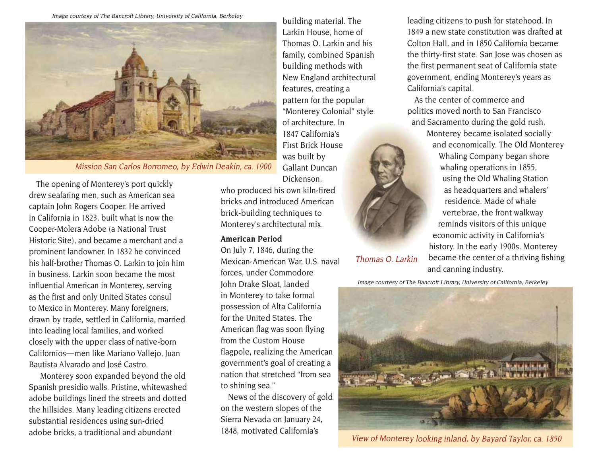Image courtesy of The Bancroft Library, University of California, Berkeley



Mission San Carlos Borromeo, by Edwin Deakin, ca. 1900

The opening of Monterey's port quickly drew seafaring men, such as American sea captain John Rogers Cooper. He arrived in California in 1823, built what is now the Cooper-Molera Adobe (a National Trust Historic Site), and became a merchant and a prominent landowner. In 1832 he convinced his half-brother Thomas O. Larkin to join him in business. Larkin soon became the most influential American in Monterey, serving as the first and only United States consul to Mexico in Monterey. Many foreigners, drawn by trade, settled in California, married into leading local families, and worked closely with the upper class of native-born Californios — men like Mariano Vallejo, Juan Bautista Alvarado and José Castro.

 Monterey soon expanded beyond the old Spanish presidio walls. Pristine, whitewashed adobe buildings lined the streets and dotted the hillsides. Many leading citizens erected substantial residences using sun-dried adobe bricks, a traditional and abundant

building material. The Larkin House, home of Thomas O. Larkin and his family, combined Spanish building methods with New England architectural features, creating a pattern for the popular "Monterey Colonial" style of architecture. In 1847 California's First Brick House was built by Gallant Duncan Dickenson,

who produced his own kiln-fired bricks and introduced American brick-building techniques to Monterey's architectural mix.

#### **American Period**

On July 7, 1846, during the Mexican-American War, U.S. naval forces, under Commodore John Drake Sloat, landed in Monterey to take formal possession of Alta California for the United States. The American flag was soon flying from the Custom House flagpole, realizing the American government's goal of creating a nation that stretched "from sea to shining sea."

News of the discovery of gold on the western slopes of the Sierra Nevada on January 24, 1848, motivated California's

leading citizens to push for statehood. In 1849 a new state constitution was drafted at Colton Hall, and in 1850 California became the thirty-first state. San Jose was chosen as the first permanent seat of California state government, ending Monterey's years as California's capital.

As the center of commerce and politics moved north to San Francisco and Sacramento during the gold rush,

> Monterey became isolated socially and economically. The Old Monterey Whaling Company began shore whaling operations in 1855, using the Old Whaling Station as headquarters and whalers' residence. Made of whale vertebrae, the front walkway reminds visitors of this unique economic activity in California's history. In the early 1900s, Monterey became the center of a thriving fishing and canning industry.

Image courtesy of The Bancroft Library, University of California, Berkeley

Thomas O. Larkin



View of Monterey looking inland, by Bayard Taylor, ca. 1850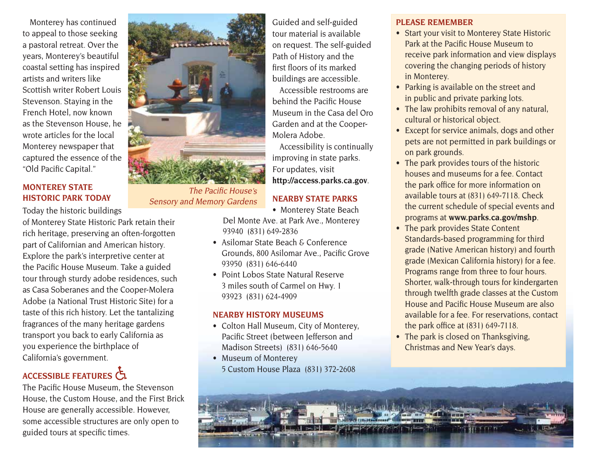Monterey has continued to appeal to those seeking a pastoral retreat. Over the years, Monterey's beautiful coastal setting has inspired artists and writers like Scottish writer Robert Louis Stevenson. Staying in the French Hotel, now known as the Stevenson House, he wrote articles for the local Monterey newspaper that captured the essence of the "Old Pacific Capital."

#### **MONTEREY STATE HISTORIC PARK TODAY**

Today the historic buildings

of Monterey State Historic Park retain their rich heritage, preserving an often-forgotten part of Californian and American history. Explore the park's interpretive center at the Pacific House Museum. Take a guided tour through sturdy adobe residences, such as Casa Soberanes and the Cooper-Molera Adobe (a National Trust Historic Site) for a taste of this rich history. Let the tantalizing fragrances of the many heritage gardens transport you back to early California as you experience the birthplace of California's government.

### **ACCESSIBLE FEATuRES**

The Pacific House Museum, the Stevenson House, the Custom House, and the First Brick House are generally accessible. However, some accessible structures are only open to guided tours at specific times.



The Pacific House's Sensory and Memory Gardens

Guided and self-guided tour material is available on request. The self-guided Path of History and the first floors of its marked buildings are accessible.

Accessible restrooms are behind the Pacific House Museum in the Casa del Oro Garden and at the Cooper-Molera Adobe.

Accessibility is continually improving in state parks. For updates, visit **<http://access.parks.ca.gov>**.

#### **NEARBY STATE PARKS**

• Monterey State Beach

Del Monte Ave. at Park Ave., Monterey 93940 (831) 649-2836

- Asilomar State Beach  $\epsilon$  Conference Grounds, 800 Asilomar Ave., Pacific Grove 93950 (831) 646-6440
- Point Lobos State Natural Reserve 3 miles south of Carmel on Hwy. 1 93923 (831) 624-4909

#### **NEARBY HISTORY MuSEuMS**

- Colton Hall Museum, City of Monterey, Pacific Street (between Jefferson and Madison Streets) (831) 646-5640
- Museum of Monterey 5 Custom House Plaza (831) 372-2608

#### **PLEASE REMEMBER**

- Start your visit to Monterey State Historic Park at the Pacific House Museum to receive park information and view displays covering the changing periods of history in Monterey.
- Parking is available on the street and in public and private parking lots.
- The law prohibits removal of any natural, cultural or historical object.
- Except for service animals, dogs and other pets are not permitted in park buildings or on park grounds.
- The park provides tours of the historic houses and museums for a fee. Contact the park office for more information on available tours at (831) 649-7118. Check the current schedule of special events and programs at **www.parks.ca.gov/mshp**.
- The park provides State Content Standards-based programming for third grade (Native American history) and fourth grade (Mexican California history) for a fee. Programs range from three to four hours. Shorter, walk-through tours for kindergarten through twelfth grade classes at the Custom House and Pacific House Museum are also available for a fee. For reservations, contact the park office at (831) 649-7118.
- The park is closed on Thanksgiving, Christmas and New Year's days.

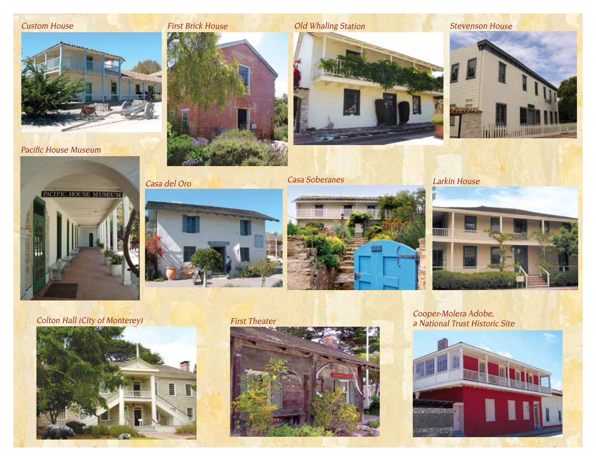#### Custom House

Pacific House Museum



Casa del Oro



**Casa Soberanes** Larkin House









**TITTIN** 

∎ ,,,,